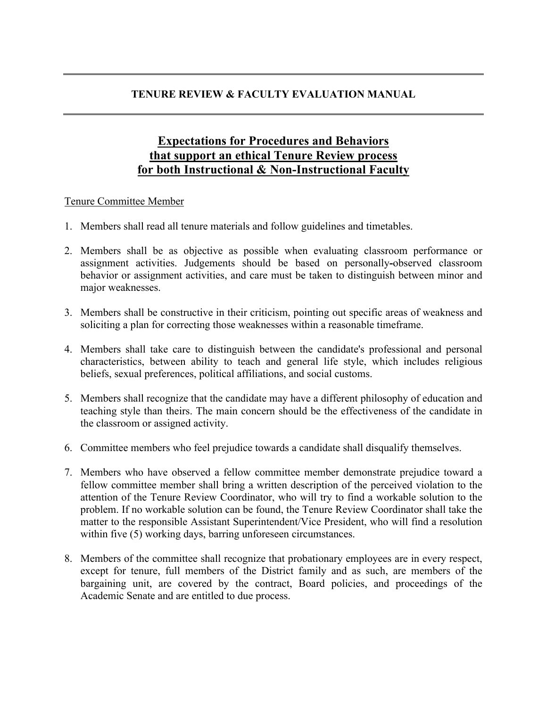## **TENURE REVIEW & FACULTY EVALUATION MANUAL**

## **Expectations for Procedures and Behaviors that support an ethical Tenure Review process for both Instructional & Non-Instructional Faculty**

## Tenure Committee Member

- 1. Members shall read all tenure materials and follow guidelines and timetables.
- 2. Members shall be as objective as possible when evaluating classroom performance or assignment activities. Judgements should be based on personally**-**observed classroom behavior or assignment activities, and care must be taken to distinguish between minor and major weaknesses.
- 3. Members shall be constructive in their criticism, pointing out specific areas of weakness and soliciting a plan for correcting those weaknesses within a reasonable timeframe.
- 4. Members shall take care to distinguish between the candidate's professional and personal characteristics, between ability to teach and general life style, which includes religious beliefs, sexual preferences, political affiliations, and social customs.
- 5. Members shall recognize that the candidate may have a different philosophy of education and teaching style than theirs. The main concern should be the effectiveness of the candidate in the classroom or assigned activity.
- 6. Committee members who feel prejudice towards a candidate shall disqualify themselves.
- 7. Members who have observed a fellow committee member demonstrate prejudice toward a fellow committee member shall bring a written description of the perceived violation to the attention of the Tenure Review Coordinator, who will try to find a workable solution to the problem. If no workable solution can be found, the Tenure Review Coordinator shall take the matter to the responsible Assistant Superintendent/Vice President, who will find a resolution within five (5) working days, barring unforeseen circumstances.
- 8. Members of the committee shall recognize that probationary employees are in every respect, except for tenure, full members of the District family and as such, are members of the bargaining unit, are covered by the contract, Board policies, and proceedings of the Academic Senate and are entitled to due process.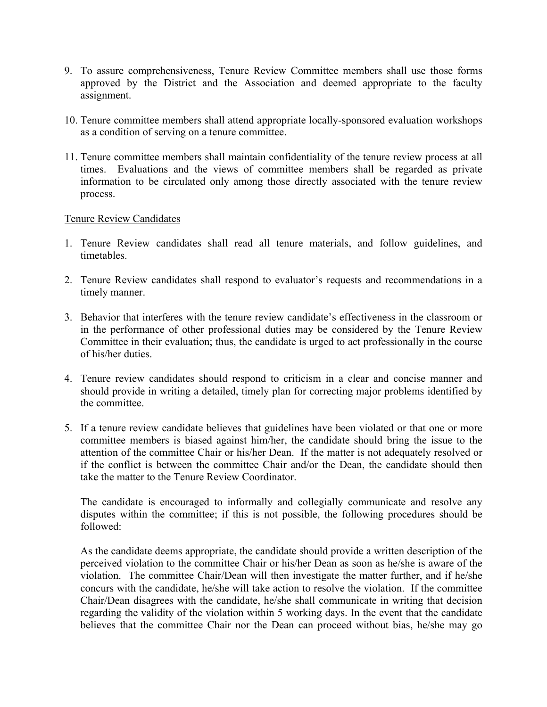- 9. To assure comprehensiveness, Tenure Review Committee members shall use those forms approved by the District and the Association and deemed appropriate to the faculty assignment.
- 10. Tenure committee members shall attend appropriate locally-sponsored evaluation workshops as a condition of serving on a tenure committee.
- 11. Tenure committee members shall maintain confidentiality of the tenure review process at all times. Evaluations and the views of committee members shall be regarded as private information to be circulated only among those directly associated with the tenure review process.

## Tenure Review Candidates

- 1. Tenure Review candidates shall read all tenure materials, and follow guidelines, and timetables.
- 2. Tenure Review candidates shall respond to evaluator's requests and recommendations in a timely manner.
- 3. Behavior that interferes with the tenure review candidate's effectiveness in the classroom or in the performance of other professional duties may be considered by the Tenure Review Committee in their evaluation; thus, the candidate is urged to act professionally in the course of his/her duties.
- 4. Tenure review candidates should respond to criticism in a clear and concise manner and should provide in writing a detailed, timely plan for correcting major problems identified by the committee.
- 5. If a tenure review candidate believes that guidelines have been violated or that one or more committee members is biased against him/her, the candidate should bring the issue to the attention of the committee Chair or his/her Dean. If the matter is not adequately resolved or if the conflict is between the committee Chair and/or the Dean, the candidate should then take the matter to the Tenure Review Coordinator.

The candidate is encouraged to informally and collegially communicate and resolve any disputes within the committee; if this is not possible, the following procedures should be followed:

As the candidate deems appropriate, the candidate should provide a written description of the perceived violation to the committee Chair or his/her Dean as soon as he/she is aware of the violation. The committee Chair/Dean will then investigate the matter further, and if he/she concurs with the candidate, he/she will take action to resolve the violation. If the committee Chair/Dean disagrees with the candidate, he/she shall communicate in writing that decision regarding the validity of the violation within 5 working days. In the event that the candidate believes that the committee Chair nor the Dean can proceed without bias, he/she may go